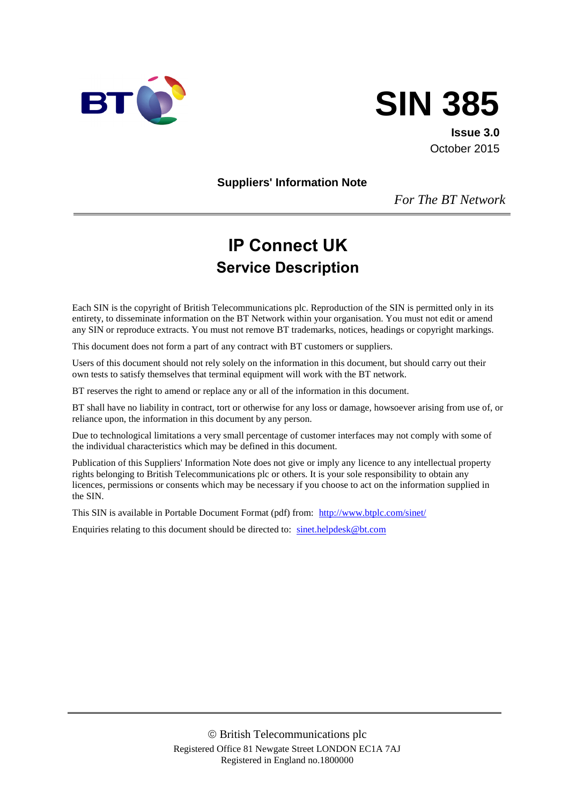



**Issue 3.0** October 2015

**Suppliers' Information Note**

*For The BT Network*

# **IP Connect UK Service Description**

Each SIN is the copyright of British Telecommunications plc. Reproduction of the SIN is permitted only in its entirety, to disseminate information on the BT Network within your organisation. You must not edit or amend any SIN or reproduce extracts. You must not remove BT trademarks, notices, headings or copyright markings.

This document does not form a part of any contract with BT customers or suppliers.

Users of this document should not rely solely on the information in this document, but should carry out their own tests to satisfy themselves that terminal equipment will work with the BT network.

BT reserves the right to amend or replace any or all of the information in this document.

BT shall have no liability in contract, tort or otherwise for any loss or damage, howsoever arising from use of, or reliance upon, the information in this document by any person.

Due to technological limitations a very small percentage of customer interfaces may not comply with some of the individual characteristics which may be defined in this document.

Publication of this Suppliers' Information Note does not give or imply any licence to any intellectual property rights belonging to British Telecommunications plc or others. It is your sole responsibility to obtain any licences, permissions or consents which may be necessary if you choose to act on the information supplied in the SIN.

This SIN is available in Portable Document Format (pdf) from: http://www.btplc.com/sinet/

Enquiries relating to this document should be directed to: sinet.helpdesk@bt.com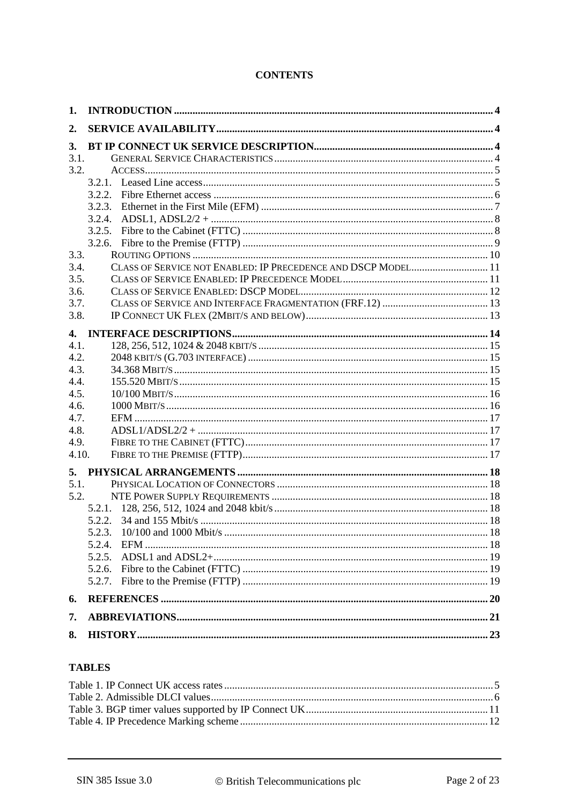# **CONTENTS**

| 1.           |                                                               |  |
|--------------|---------------------------------------------------------------|--|
| 2.           |                                                               |  |
| 3.           |                                                               |  |
| 3.1.         |                                                               |  |
| 3.2.         |                                                               |  |
|              |                                                               |  |
|              |                                                               |  |
|              |                                                               |  |
|              |                                                               |  |
|              | 3.2.5.                                                        |  |
|              | 3.2.6.                                                        |  |
| 3.3.         |                                                               |  |
| 3.4.         | CLASS OF SERVICE NOT ENABLED: IP PRECEDENCE AND DSCP MODEL 11 |  |
| 3.5.         |                                                               |  |
| 3.6.         |                                                               |  |
| 3.7.         |                                                               |  |
| 3.8.         |                                                               |  |
| $\mathbf{4}$ |                                                               |  |
| 4.1.         |                                                               |  |
| 4.2.         |                                                               |  |
| 4.3.         |                                                               |  |
| 4.4.         |                                                               |  |
| 4.5.         |                                                               |  |
| 4.6.         |                                                               |  |
| 4.7.         |                                                               |  |
| 4.8.         | $ADSL1/ADSL2/2 + \dots$                                       |  |
| 4.9.         |                                                               |  |
| 4.10.        |                                                               |  |
| 5.           |                                                               |  |
| 5.1.         |                                                               |  |
| 5.2.         |                                                               |  |
|              |                                                               |  |
|              |                                                               |  |
|              |                                                               |  |
|              |                                                               |  |
|              |                                                               |  |
|              |                                                               |  |
|              |                                                               |  |
| 6.           |                                                               |  |
| 7.           |                                                               |  |
| 8.           |                                                               |  |

#### **TABLES**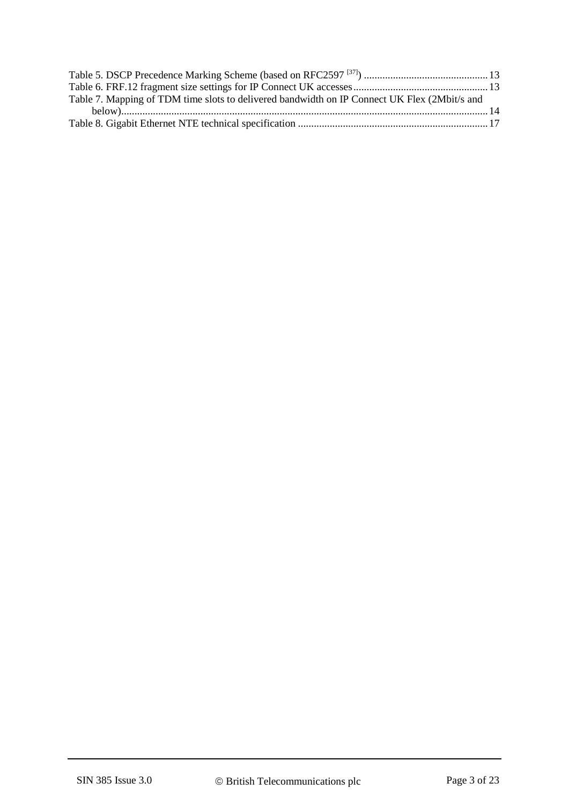| Table 7. Mapping of TDM time slots to delivered bandwidth on IP Connect UK Flex (2Mbit/s and |  |
|----------------------------------------------------------------------------------------------|--|
|                                                                                              |  |
|                                                                                              |  |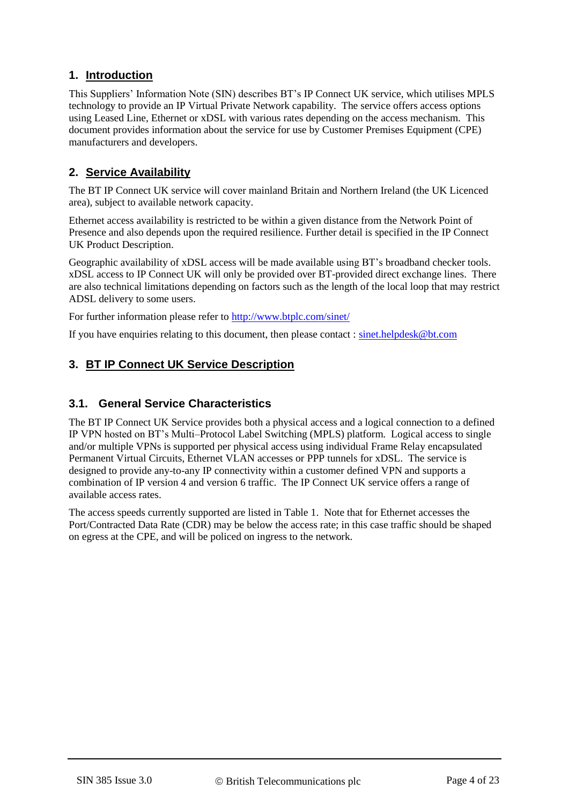# **1. Introduction**

This Suppliers' Information Note (SIN) describes BT's IP Connect UK service, which utilises MPLS technology to provide an IP Virtual Private Network capability. The service offers access options using Leased Line, Ethernet or xDSL with various rates depending on the access mechanism. This document provides information about the service for use by Customer Premises Equipment (CPE) manufacturers and developers.

# **2. Service Availability**

The BT IP Connect UK service will cover mainland Britain and Northern Ireland (the UK Licenced area), subject to available network capacity.

Ethernet access availability is restricted to be within a given distance from the Network Point of Presence and also depends upon the required resilience. Further detail is specified in the IP Connect UK Product Description.

Geographic availability of xDSL access will be made available using BT's broadband checker tools. xDSL access to IP Connect UK will only be provided over BT-provided direct exchange lines. There are also technical limitations depending on factors such as the length of the local loop that may restrict ADSL delivery to some users.

For further information please refer to http://www.btplc.com/sinet/

If you have enquiries relating to this document, then please contact : [sinet.helpdesk@bt.com](mailto:sinet.helpdesk@bt.com)

# **3. BT IP Connect UK Service Description**

#### **3.1. General Service Characteristics**

The BT IP Connect UK Service provides both a physical access and a logical connection to a defined IP VPN hosted on BT's Multi–Protocol Label Switching (MPLS) platform. Logical access to single and/or multiple VPNs is supported per physical access using individual Frame Relay encapsulated Permanent Virtual Circuits, Ethernet VLAN accesses or PPP tunnels for xDSL. The service is designed to provide any-to-any IP connectivity within a customer defined VPN and supports a combination of IP version 4 and version 6 traffic. The IP Connect UK service offers a range of available access rates.

The access speeds currently supported are listed in [Table 1.](#page-4-0) Note that for Ethernet accesses the Port/Contracted Data Rate (CDR) may be below the access rate; in this case traffic should be shaped on egress at the CPE, and will be policed on ingress to the network.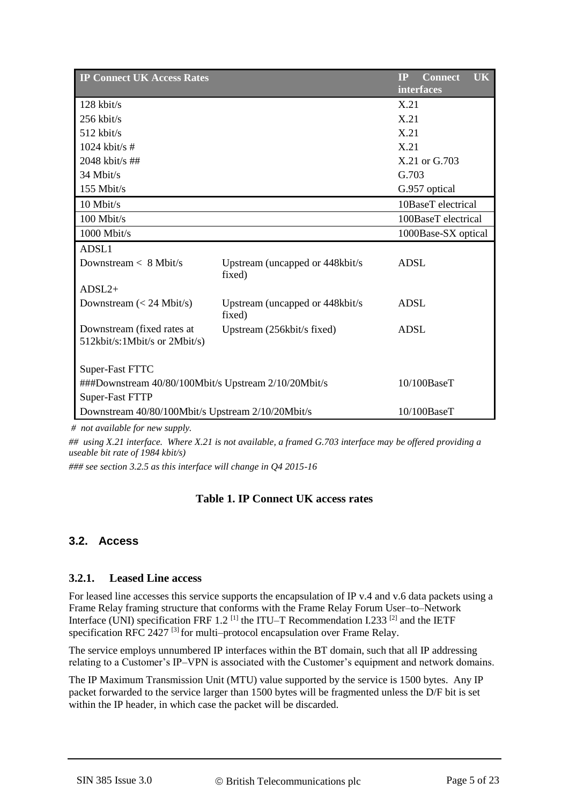| <b>IP Connect UK Access Rates</b>                                   |                                            | <b>UK</b><br><b>IP</b><br><b>Connect</b> |  |  |
|---------------------------------------------------------------------|--------------------------------------------|------------------------------------------|--|--|
|                                                                     |                                            | interfaces                               |  |  |
| 128 kbit/s                                                          |                                            | X.21                                     |  |  |
| $256$ kbit/s                                                        |                                            | X.21                                     |  |  |
| $512$ kbit/s                                                        |                                            | X.21                                     |  |  |
| $1024$ kbit/s #                                                     |                                            | X.21                                     |  |  |
| 2048 kbit/s ##                                                      |                                            | X.21 or G.703                            |  |  |
| 34 Mbit/s                                                           |                                            | G.703                                    |  |  |
| 155 Mbit/s                                                          |                                            | G.957 optical                            |  |  |
| 10 Mbit/s                                                           |                                            | 10BaseT electrical                       |  |  |
| 100 Mbit/s                                                          |                                            | 100BaseT electrical                      |  |  |
| 1000 Mbit/s                                                         |                                            | 1000Base-SX optical                      |  |  |
| ADSL1                                                               |                                            |                                          |  |  |
| Downstream < 8 Mbit/s                                               | Upstream (uncapped or 448kbit/s)<br>fixed) | <b>ADSL</b>                              |  |  |
| $ADSL2+$                                                            |                                            |                                          |  |  |
| Downstream $(< 24$ Mbit/s)                                          | Upstream (uncapped or 448kbit/s)<br>fixed) | <b>ADSL</b>                              |  |  |
| Downstream (fixed rates at<br>512kbit/s:1Mbit/s or 2Mbit/s)         | Upstream (256kbit/s fixed)                 | <b>ADSL</b>                              |  |  |
| Super-Fast FTTC                                                     |                                            |                                          |  |  |
| ###Downstream 40/80/100Mbit/s Upstream 2/10/20Mbit/s<br>10/100BaseT |                                            |                                          |  |  |
| <b>Super-Fast FTTP</b>                                              |                                            |                                          |  |  |
| Downstream 40/80/100Mbit/s Upstream 2/10/20Mbit/s                   |                                            | 10/100BaseT                              |  |  |

*# not available for new supply.* 

*## using X.21 interface. Where X.21 is not available, a framed G.703 interface may be offered providing a useable bit rate of 1984 kbit/s)*

<span id="page-4-0"></span>*### see section 3.2.5 as this interface will change in Q4 2015-16*

#### **Table 1. IP Connect UK access rates**

#### **3.2. Access**

#### **3.2.1. Leased Line access**

For leased line accesses this service supports the encapsulation of IP v.4 and v.6 data packets using a Frame Relay framing structure that conforms with the Frame Relay Forum User–to–Network Interface (UNI) specification FRF 1.2<sup>[\[1\]](#page-19-0)</sup> the ITU–T Recommendation I.233<sup>[\[2\]](#page-19-1)</sup> and the IETF specification RFC 2427<sup>[\[3\]](#page-19-2)</sup> for multi–protocol encapsulation over Frame Relay.

The service employs unnumbered IP interfaces within the BT domain, such that all IP addressing relating to a Customer's IP–VPN is associated with the Customer's equipment and network domains.

The IP Maximum Transmission Unit (MTU) value supported by the service is 1500 bytes. Any IP packet forwarded to the service larger than 1500 bytes will be fragmented unless the D/F bit is set within the IP header, in which case the packet will be discarded.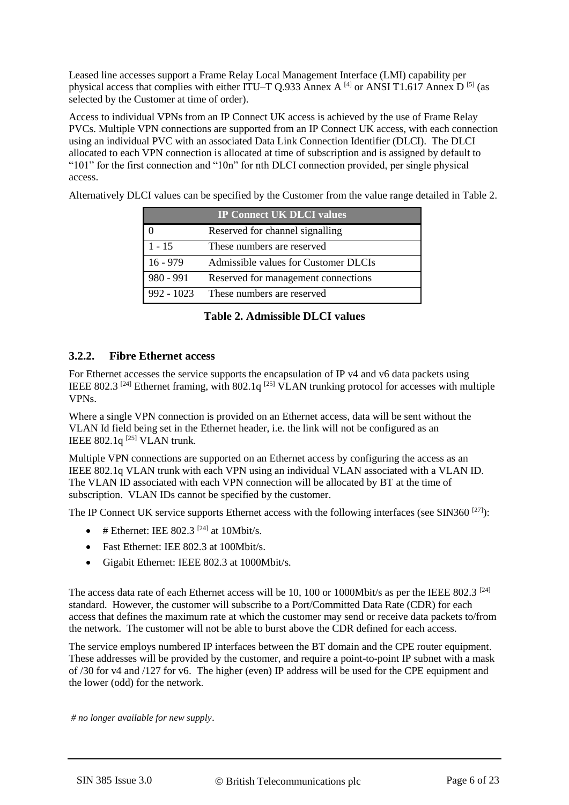Leased line accesses support a Frame Relay Local Management Interface (LMI) capability per physical access that complies with either ITU–T Q.933 Annex A  $^{[4]}$  $^{[4]}$  $^{[4]}$  or ANSI T1.617 Annex D  $^{[5]}$  $^{[5]}$  $^{[5]}$  (as selected by the Customer at time of order).

Access to individual VPNs from an IP Connect UK access is achieved by the use of Frame Relay PVCs. Multiple VPN connections are supported from an IP Connect UK access, with each connection using an individual PVC with an associated Data Link Connection Identifier (DLCI). The DLCI allocated to each VPN connection is allocated at time of subscription and is assigned by default to "101" for the first connection and "10n" for nth DLCI connection provided, per single physical access.

Alternatively DLCI values can be specified by the Customer from the value range detailed in [Table 2.](#page-5-0)

|              | <b>IP Connect UK DLCI values</b>     |
|--------------|--------------------------------------|
|              | Reserved for channel signalling      |
| $1 - 15$     | These numbers are reserved           |
| $16 - 979$   | Admissible values for Customer DLCIs |
| $980 - 991$  | Reserved for management connections  |
| $992 - 1023$ | These numbers are reserved           |

**Table 2. Admissible DLCI values**

#### <span id="page-5-0"></span>**3.2.2. Fibre Ethernet access**

For Ethernet accesses the service supports the encapsulation of IP v4 and v6 data packets using IEEE 802.3<sup>[\[24\]](#page-19-5)</sup> Ethernet framing, with 802.1q<sup>[\[25\]](#page-20-0)</sup> VLAN trunking protocol for accesses with multiple VPNs.

Where a single VPN connection is provided on an Ethernet access, data will be sent without the VLAN Id field being set in the Ethernet header, i.e. the link will not be configured as an IEEE  $802.1q^{[25]}$  $802.1q^{[25]}$  $802.1q^{[25]}$  VLAN trunk.

Multiple VPN connections are supported on an Ethernet access by configuring the access as an IEEE 802.1q VLAN trunk with each VPN using an individual VLAN associated with a VLAN ID. The VLAN ID associated with each VPN connection will be allocated by BT at the time of subscription. VLAN IDs cannot be specified by the customer.

The IP Connect UK service supports Ethernet access with the following interfaces (see SIN360<sup>[\[27\]](#page-20-1)</sup>):

- $\bullet$  # Ethernet: IEE 802.3<sup>[\[24\]](#page-19-5)</sup> at 10Mbit/s.
- Fast Ethernet: IEE 802.3 at 100Mbit/s.
- Gigabit Ethernet: IEEE 802.3 at 1000Mbit/s.

The access data rate of each Ethernet access will be 10, 100 or 1000Mbit/s as per the IEEE 802.3  $^{[24]}$  $^{[24]}$  $^{[24]}$ standard. However, the customer will subscribe to a Port/Committed Data Rate (CDR) for each access that defines the maximum rate at which the customer may send or receive data packets to/from the network. The customer will not be able to burst above the CDR defined for each access.

The service employs numbered IP interfaces between the BT domain and the CPE router equipment. These addresses will be provided by the customer, and require a point-to-point IP subnet with a mask of /30 for v4 and /127 for v6. The higher (even) IP address will be used for the CPE equipment and the lower (odd) for the network.

*# no longer available for new supply*.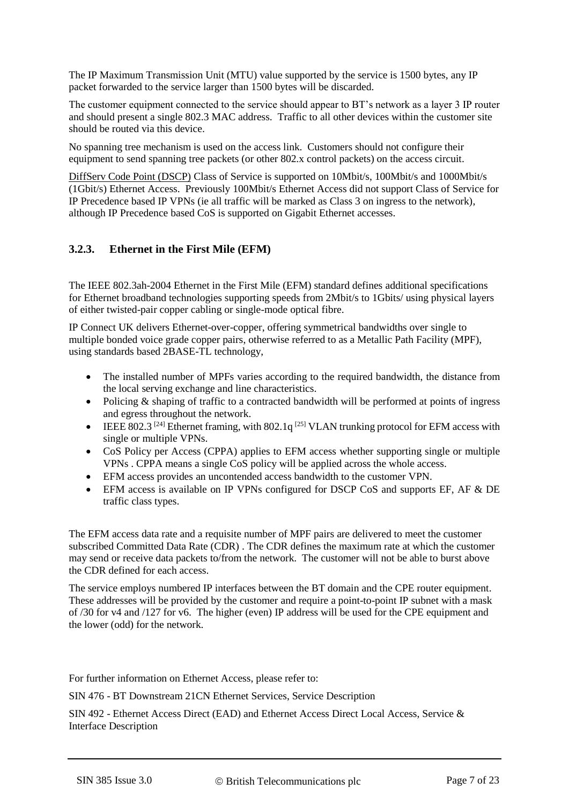The IP Maximum Transmission Unit (MTU) value supported by the service is 1500 bytes, any IP packet forwarded to the service larger than 1500 bytes will be discarded.

The customer equipment connected to the service should appear to BT's network as a layer 3 IP router and should present a single 802.3 MAC address. Traffic to all other devices within the customer site should be routed via this device.

No spanning tree mechanism is used on the access link. Customers should not configure their equipment to send spanning tree packets (or other 802.x control packets) on the access circuit.

DiffServ Code Point (DSCP) Class of Service is supported on 10Mbit/s, 100Mbit/s and 1000Mbit/s (1Gbit/s) Ethernet Access. Previously 100Mbit/s Ethernet Access did not support Class of Service for IP Precedence based IP VPNs (ie all traffic will be marked as Class 3 on ingress to the network), although IP Precedence based CoS is supported on Gigabit Ethernet accesses.

# **3.2.3. Ethernet in the First Mile (EFM)**

The IEEE 802.3ah-2004 Ethernet in the First Mile (EFM) standard defines additional specifications for Ethernet broadband technologies supporting speeds from 2Mbit/s to 1Gbits/ using physical layers of either twisted-pair copper cabling or single-mode optical fibre.

IP Connect UK delivers Ethernet-over-copper, offering symmetrical bandwidths over single to multiple bonded voice grade copper pairs, otherwise referred to as a Metallic Path Facility (MPF), using standards based 2BASE-TL technology,

- The installed number of MPFs varies according to the required bandwidth, the distance from the local serving exchange and line characteristics.
- Policing & shaping of traffic to a contracted bandwidth will be performed at points of ingress and egress throughout the network.
- **•** IEEE 802.3<sup>[\[24\]](#page-19-5)</sup> Ethernet framing, with 802.1q<sup>[\[25\]](#page-20-0)</sup> VLAN trunking protocol for EFM access with single or multiple VPNs.
- CoS Policy per Access (CPPA) applies to EFM access whether supporting single or multiple VPNs . CPPA means a single CoS policy will be applied across the whole access.
- EFM access provides an uncontended access bandwidth to the customer VPN.
- EFM access is available on IP VPNs configured for DSCP CoS and supports EF, AF & DE traffic class types.

The EFM access data rate and a requisite number of MPF pairs are delivered to meet the customer subscribed Committed Data Rate (CDR) . The CDR defines the maximum rate at which the customer may send or receive data packets to/from the network. The customer will not be able to burst above the CDR defined for each access.

The service employs numbered IP interfaces between the BT domain and the CPE router equipment. These addresses will be provided by the customer and require a point-to-point IP subnet with a mask of /30 for v4 and /127 for v6. The higher (even) IP address will be used for the CPE equipment and the lower (odd) for the network.

For further information on Ethernet Access, please refer to:

SIN 476 - BT Downstream 21CN Ethernet Services, Service Description

SIN 492 - Ethernet Access Direct (EAD) and Ethernet Access Direct Local Access, Service & Interface Description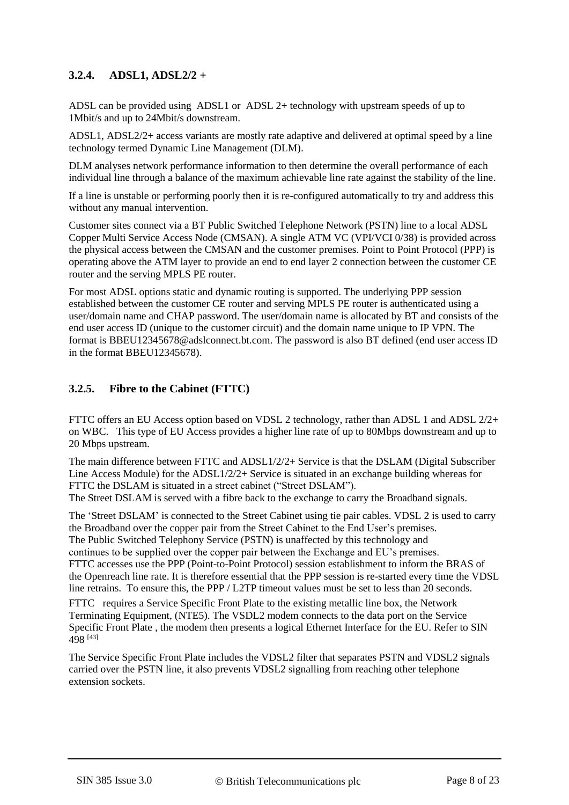# **3.2.4. ADSL1, ADSL2/2 +**

ADSL can be provided using ADSL1 or ADSL 2+ technology with upstream speeds of up to 1Mbit/s and up to 24Mbit/s downstream.

ADSL1, ADSL2/2+ access variants are mostly rate adaptive and delivered at optimal speed by a line technology termed Dynamic Line Management (DLM).

DLM analyses network performance information to then determine the overall performance of each individual line through a balance of the maximum achievable line rate against the stability of the line.

If a line is unstable or performing poorly then it is re-configured automatically to try and address this without any manual intervention.

Customer sites connect via a BT Public Switched Telephone Network (PSTN) line to a local ADSL Copper Multi Service Access Node (CMSAN). A single ATM VC (VPI/VCI 0/38) is provided across the physical access between the CMSAN and the customer premises. Point to Point Protocol (PPP) is operating above the ATM layer to provide an end to end layer 2 connection between the customer CE router and the serving MPLS PE router.

For most ADSL options static and dynamic routing is supported. The underlying PPP session established between the customer CE router and serving MPLS PE router is authenticated using a user/domain name and CHAP password. The user/domain name is allocated by BT and consists of the end user access ID (unique to the customer circuit) and the domain name unique to IP VPN. The format is BBEU12345678@adslconnect.bt.com. The password is also BT defined (end user access ID in the format BBEU12345678).

# **3.2.5. Fibre to the Cabinet (FTTC)**

FTTC offers an EU Access option based on VDSL 2 technology, rather than ADSL 1 and ADSL 2/2+ on WBC. This type of EU Access provides a higher line rate of up to 80Mbps downstream and up to 20 Mbps upstream.

The main difference between FTTC and ADSL1/2/2+ Service is that the DSLAM (Digital Subscriber Line Access Module) for the ADSL1/2/2+ Service is situated in an exchange building whereas for FTTC the DSLAM is situated in a street cabinet ("Street DSLAM"). The Street DSLAM is served with a fibre back to the exchange to carry the Broadband signals.

The 'Street DSLAM' is connected to the Street Cabinet using tie pair cables. VDSL 2 is used to carry the Broadband over the copper pair from the Street Cabinet to the End User's premises. The Public Switched Telephony Service (PSTN) is unaffected by this technology and continues to be supplied over the copper pair between the Exchange and EU's premises. FTTC accesses use the PPP (Point-to-Point Protocol) session establishment to inform the BRAS of the Openreach line rate. It is therefore essential that the PPP session is re-started every time the VDSL line retrains. To ensure this, the PPP / L2TP timeout values must be set to less than 20 seconds.

FTTC requires a Service Specific Front Plate to the existing metallic line box, the Network Terminating Equipment, (NTE5). The VSDL2 modem connects to the data port on the Service Specific Front Plate , the modem then presents a logical Ethernet Interface for the EU. Refer to SIN 498 [\[43\]](#page-20-2)

The Service Specific Front Plate includes the VDSL2 filter that separates PSTN and VDSL2 signals carried over the PSTN line, it also prevents VDSL2 signalling from reaching other telephone extension sockets.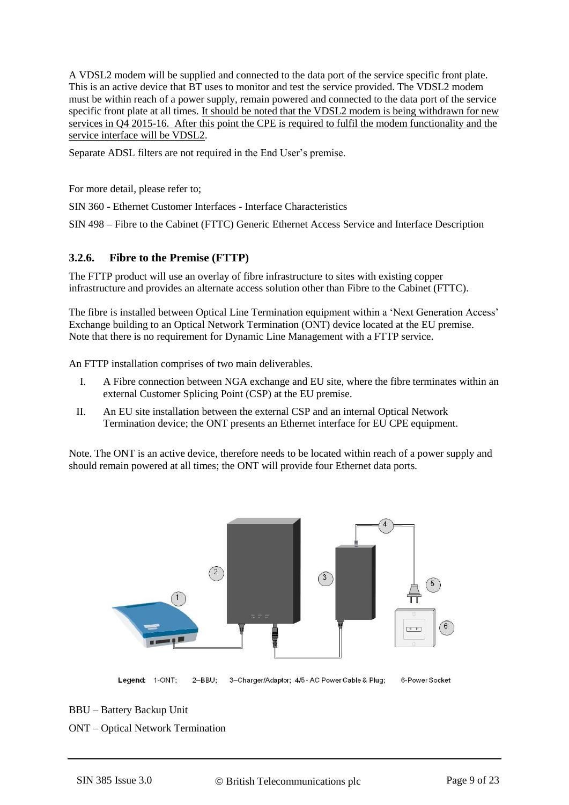A VDSL2 modem will be supplied and connected to the data port of the service specific front plate. This is an active device that BT uses to monitor and test the service provided. The VDSL2 modem must be within reach of a power supply, remain powered and connected to the data port of the service specific front plate at all times. It should be noted that the VDSL2 modem is being withdrawn for new services in Q4 2015-16. After this point the CPE is required to fulfil the modem functionality and the service interface will be VDSL2.

Separate ADSL filters are not required in the End User's premise.

For more detail, please refer to;

SIN 360 - Ethernet Customer Interfaces - Interface Characteristics

SIN 498 – Fibre to the Cabinet (FTTC) Generic Ethernet Access Service and Interface Description

#### **3.2.6. Fibre to the Premise (FTTP)**

The FTTP product will use an overlay of fibre infrastructure to sites with existing copper infrastructure and provides an alternate access solution other than Fibre to the Cabinet (FTTC).

The fibre is installed between Optical Line Termination equipment within a 'Next Generation Access' Exchange building to an Optical Network Termination (ONT) device located at the EU premise. Note that there is no requirement for Dynamic Line Management with a FTTP service.

An FTTP installation comprises of two main deliverables.

- I. A Fibre connection between NGA exchange and EU site, where the fibre terminates within an external Customer Splicing Point (CSP) at the EU premise.
- II. An EU site installation between the external CSP and an internal Optical Network Termination device; the ONT presents an Ethernet interface for EU CPE equipment.

Note. The ONT is an active device, therefore needs to be located within reach of a power supply and should remain powered at all times; the ONT will provide four Ethernet data ports.



Legend: 1-ONT: 2-BBU; 3-Charger/Adaptor; 4/5 - AC Power Cable & Plug;

6-Power Socket

BBU – Battery Backup Unit

ONT – Optical Network Termination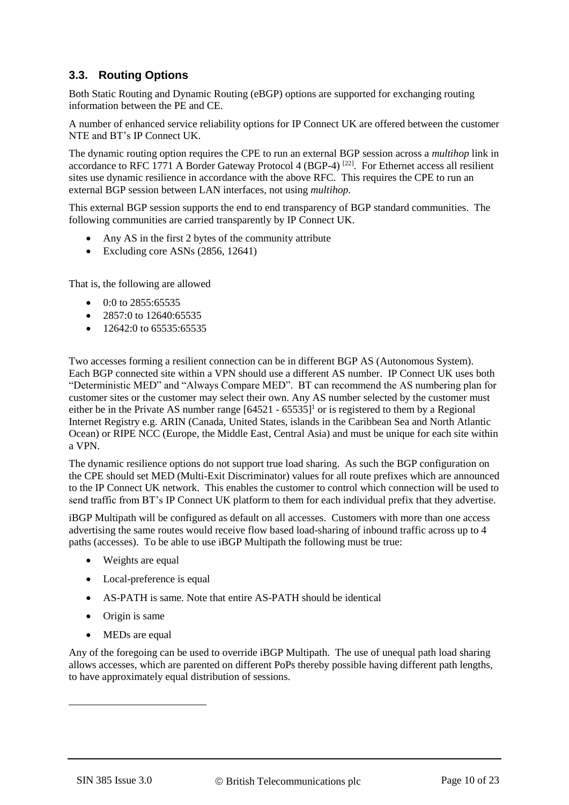# **3.3. Routing Options**

Both Static Routing and Dynamic Routing (eBGP) options are supported for exchanging routing information between the PE and CE.

A number of enhanced service reliability options for IP Connect UK are offered between the customer NTE and BT's IP Connect UK.

The dynamic routing option requires the CPE to run an external BGP session across a *multihop* link in accordance to RFC 1771 A Border Gateway Protocol 4 (BGP-4)<sup>[\[22\]](#page-19-6)</sup>. For Ethernet access all resilient sites use dynamic resilience in accordance with the above RFC. This requires the CPE to run an external BGP session between LAN interfaces, not using *multihop*.

This external BGP session supports the end to end transparency of BGP standard communities. The following communities are carried transparently by IP Connect UK.

- Any AS in the first 2 bytes of the community attribute
- Excluding core ASNs (2856, 12641)

That is, the following are allowed

- $\bullet$  0:0 to 2855:65535
- $\bullet$  2857:0 to 12640:65535
- $\bullet$  12642:0 to 65535:65535

Two accesses forming a resilient connection can be in different BGP AS (Autonomous System). Each BGP connected site within a VPN should use a different AS number. IP Connect UK uses both "Deterministic MED" and "Always Compare MED". BT can recommend the AS numbering plan for customer sites or the customer may select their own. Any AS number selected by the customer must either be in the Private AS number range  $[64521 - 65535]^1$  or is registered to them by a Regional Internet Registry e.g. ARIN (Canada, United States, islands in the Caribbean Sea and North Atlantic Ocean) or RIPE NCC (Europe, the Middle East, Central Asia) and must be unique for each site within a VPN.

The dynamic resilience options do not support true load sharing. As such the BGP configuration on the CPE should set MED (Multi-Exit Discriminator) values for all route prefixes which are announced to the IP Connect UK network. This enables the customer to control which connection will be used to send traffic from BT's IP Connect UK platform to them for each individual prefix that they advertise.

iBGP Multipath will be configured as default on all accesses. Customers with more than one access advertising the same routes would receive flow based load-sharing of inbound traffic across up to 4 paths (accesses). To be able to use iBGP Multipath the following must be true:

- Weights are equal
- Local-preference is equal
- AS-PATH is same. Note that entire AS-PATH should be identical
- Origin is same
- MEDs are equal

Any of the foregoing can be used to override iBGP Multipath. The use of unequal path load sharing allows accesses, which are parented on different PoPs thereby possible having different path lengths, to have approximately equal distribution of sessions.

1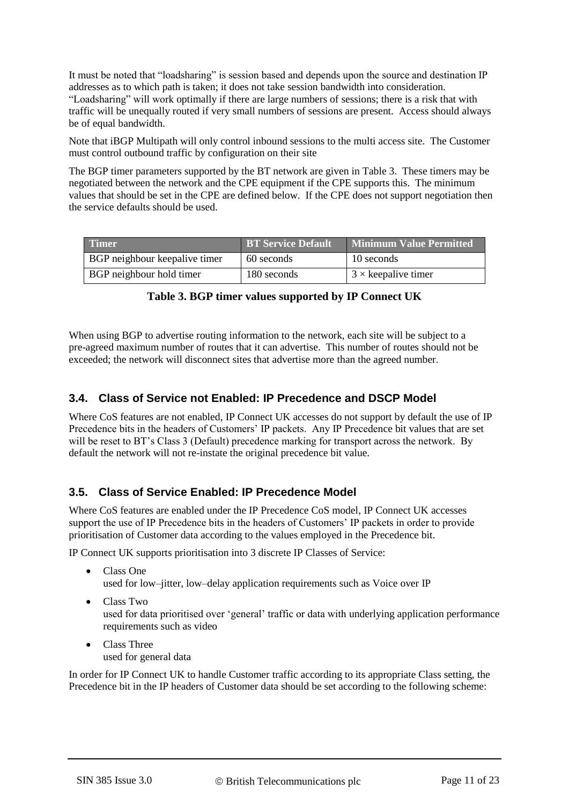It must be noted that "loadsharing" is session based and depends upon the source and destination IP addresses as to which path is taken; it does not take session bandwidth into consideration. "Loadsharing" will work optimally if there are large numbers of sessions; there is a risk that with traffic will be unequally routed if very small numbers of sessions are present. Access should always be of equal bandwidth.

Note that iBGP Multipath will only control inbound sessions to the multi access site. The Customer must control outbound traffic by configuration on their site

The BGP timer parameters supported by the BT network are given in [Table 3.](#page-10-0) These timers may be negotiated between the network and the CPE equipment if the CPE supports this. The minimum values that should be set in the CPE are defined below. If the CPE does not support negotiation then the service defaults should be used.

| <b>Timer</b>                  | <b>BT Service Default</b> | <b>Minimum Value Permitted</b> |
|-------------------------------|---------------------------|--------------------------------|
| BGP neighbour keepalive timer | 60 seconds                | 10 seconds                     |
| BGP neighbour hold timer      | 180 seconds               | $3 \times$ keepalive timer     |

|  |  |  | Table 3. BGP timer values supported by IP Connect UK |  |  |  |
|--|--|--|------------------------------------------------------|--|--|--|
|--|--|--|------------------------------------------------------|--|--|--|

<span id="page-10-0"></span>When using BGP to advertise routing information to the network, each site will be subject to a pre-agreed maximum number of routes that it can advertise. This number of routes should not be exceeded; the network will disconnect sites that advertise more than the agreed number.

# **3.4. Class of Service not Enabled: IP Precedence and DSCP Model**

Where CoS features are not enabled, IP Connect UK accesses do not support by default the use of IP Precedence bits in the headers of Customers' IP packets. Any IP Precedence bit values that are set will be reset to BT's Class 3 (Default) precedence marking for transport across the network. By default the network will not re-instate the original precedence bit value.

# **3.5. Class of Service Enabled: IP Precedence Model**

Where CoS features are enabled under the IP Precedence CoS model, IP Connect UK accesses support the use of IP Precedence bits in the headers of Customers' IP packets in order to provide prioritisation of Customer data according to the values employed in the Precedence bit.

IP Connect UK supports prioritisation into 3 discrete IP Classes of Service:

- Class One used for low–jitter, low–delay application requirements such as Voice over IP
- Class Two used for data prioritised over 'general' traffic or data with underlying application performance requirements such as video
- Class Three used for general data

In order for IP Connect UK to handle Customer traffic according to its appropriate Class setting, the Precedence bit in the IP headers of Customer data should be set according to the following scheme: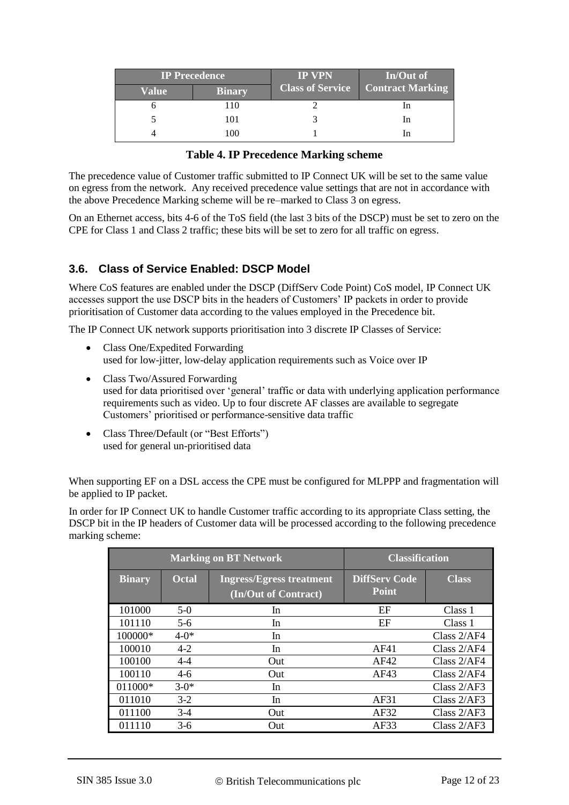| <b>IP Precedence</b> |               | <b>IP VPN</b>           | In/Out of               |
|----------------------|---------------|-------------------------|-------------------------|
| Value                | <b>Binary</b> | <b>Class of Service</b> | <b>Contract Marking</b> |
|                      | 110           |                         |                         |
|                      | 101           |                         | ın                      |
|                      | 100           |                         |                         |

| <b>Table 4. IP Precedence Marking scheme</b> |  |  |  |  |
|----------------------------------------------|--|--|--|--|
|----------------------------------------------|--|--|--|--|

The precedence value of Customer traffic submitted to IP Connect UK will be set to the same value on egress from the network. Any received precedence value settings that are not in accordance with the above Precedence Marking scheme will be re–marked to Class 3 on egress.

On an Ethernet access, bits 4-6 of the ToS field (the last 3 bits of the DSCP) must be set to zero on the CPE for Class 1 and Class 2 traffic; these bits will be set to zero for all traffic on egress.

#### **3.6. Class of Service Enabled: DSCP Model**

Where CoS features are enabled under the DSCP (DiffServ Code Point) CoS model, IP Connect UK accesses support the use DSCP bits in the headers of Customers' IP packets in order to provide prioritisation of Customer data according to the values employed in the Precedence bit.

The IP Connect UK network supports prioritisation into 3 discrete IP Classes of Service:

- Class One/Expedited Forwarding used for low-jitter, low-delay application requirements such as Voice over IP
- Class Two/Assured Forwarding used for data prioritised over 'general' traffic or data with underlying application performance requirements such as video. Up to four discrete AF classes are available to segregate Customers' prioritised or performance-sensitive data traffic
- Class Three/Default (or "Best Efforts") used for general un-prioritised data

When supporting EF on a DSL access the CPE must be configured for MLPPP and fragmentation will be applied to IP packet.

In order for IP Connect UK to handle Customer traffic according to its appropriate Class setting, the DSCP bit in the IP headers of Customer data will be processed according to the following precedence marking scheme:

|               |              | <b>Marking on BT Network</b>                            | <b>Classification</b>                |               |
|---------------|--------------|---------------------------------------------------------|--------------------------------------|---------------|
| <b>Binary</b> | <b>Octal</b> | <b>Ingress/Egress treatment</b><br>(In/Out of Contract) | <b>DiffServ Code</b><br><b>Point</b> | <b>Class</b>  |
| 101000        | $5-0$        | In                                                      | EF                                   | Class 1       |
| 101110        | $5-6$        | In                                                      | EF                                   | Class 1       |
| 100000*       | $4 - 0*$     | In                                                      |                                      | Class $2/AF4$ |
| 100010        | $4 - 2$      | In                                                      | AF41                                 | Class 2/AF4   |
| 100100        | $4 - 4$      | <b>Out</b>                                              | AF42                                 | Class 2/AF4   |
| 100110        | $4-6$        | Out                                                     | AF43                                 | Class $2/AF4$ |
| 011000*       | $3-0*$       | In                                                      |                                      | Class $2/AF3$ |
| 011010        | $3-2$        | In                                                      | AF31                                 | Class $2/AF3$ |
| 011100        | $3-4$        | Out                                                     | AF32                                 | Class $2/AF3$ |
| 011110        | $3-6$        | <b>Out</b>                                              | AF33                                 | Class $2/AF3$ |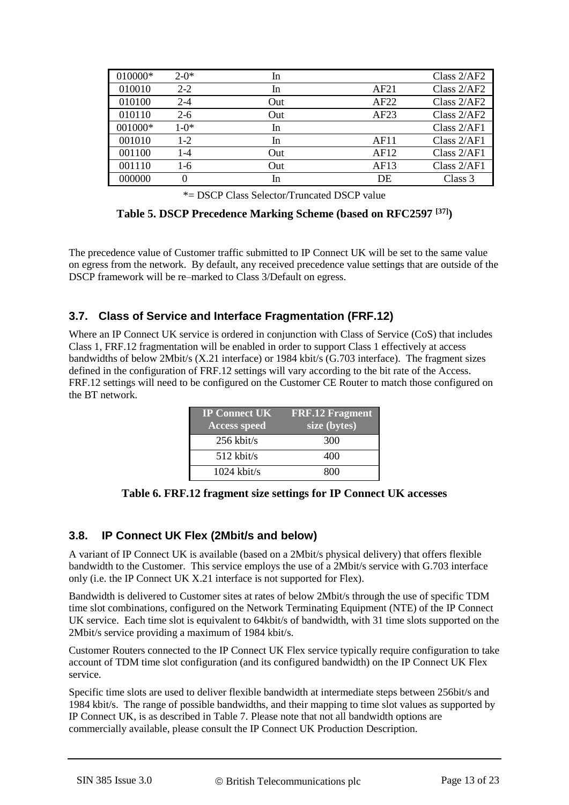| 010000* | $2-0*$  | In  |      | Class $2/AF2$ |
|---------|---------|-----|------|---------------|
| 010010  | $2 - 2$ | In  | AF21 | Class 2/AF2   |
| 010100  | $2 - 4$ | Out | AF22 | Class $2/AF2$ |
| 010110  | $2 - 6$ | Out | AF23 | Class 2/AF2   |
| 001000* | $1-0*$  | In  |      | Class 2/AF1   |
| 001010  | $1-2$   | In  | AF11 | Class 2/AF1   |
| 001100  | 1-4     | Out | AF12 | Class 2/AF1   |
| 001110  | 1-6     | Out | AF13 | Class $2/AF1$ |
| 000000  | 0       | In  | DE   | Class 3       |

\*= DSCP Class Selector/Truncated DSCP value

**Table 5. DSCP Precedence Marking Scheme (based on RFC2597 [\[37\]](#page-20-3) )**

The precedence value of Customer traffic submitted to IP Connect UK will be set to the same value on egress from the network. By default, any received precedence value settings that are outside of the DSCP framework will be re–marked to Class 3/Default on egress.

# **3.7. Class of Service and Interface Fragmentation (FRF.12)**

Where an IP Connect UK service is ordered in conjunction with Class of Service (CoS) that includes Class 1, FRF.12 fragmentation will be enabled in order to support Class 1 effectively at access bandwidths of below 2Mbit/s (X.21 interface) or 1984 kbit/s (G.703 interface). The fragment sizes defined in the configuration of FRF.12 settings will vary according to the bit rate of the Access. FRF.12 settings will need to be configured on the Customer CE Router to match those configured on the BT network.

| <b>IP Connect UK</b><br><b>Access speed</b> | <b>FRF.12 Fragment</b><br>size (bytes) |
|---------------------------------------------|----------------------------------------|
| $256$ kbit/s                                | 300                                    |
| $512$ kbit/s                                | 400                                    |
| $1024$ kbit/s                               | 800                                    |

**Table 6. FRF.12 fragment size settings for IP Connect UK accesses**

#### **3.8. IP Connect UK Flex (2Mbit/s and below)**

A variant of IP Connect UK is available (based on a 2Mbit/s physical delivery) that offers flexible bandwidth to the Customer. This service employs the use of a 2Mbit/s service with G.703 interface only (i.e. the IP Connect UK X.21 interface is not supported for Flex).

Bandwidth is delivered to Customer sites at rates of below 2Mbit/s through the use of specific TDM time slot combinations, configured on the Network Terminating Equipment (NTE) of the IP Connect UK service. Each time slot is equivalent to 64kbit/s of bandwidth, with 31 time slots supported on the 2Mbit/s service providing a maximum of 1984 kbit/s.

Customer Routers connected to the IP Connect UK Flex service typically require configuration to take account of TDM time slot configuration (and its configured bandwidth) on the IP Connect UK Flex service.

Specific time slots are used to deliver flexible bandwidth at intermediate steps between 256bit/s and 1984 kbit/s. The range of possible bandwidths, and their mapping to time slot values as supported by IP Connect UK, is as described in [Table 7.](#page-13-0) Please note that not all bandwidth options are commercially available, please consult the IP Connect UK Production Description.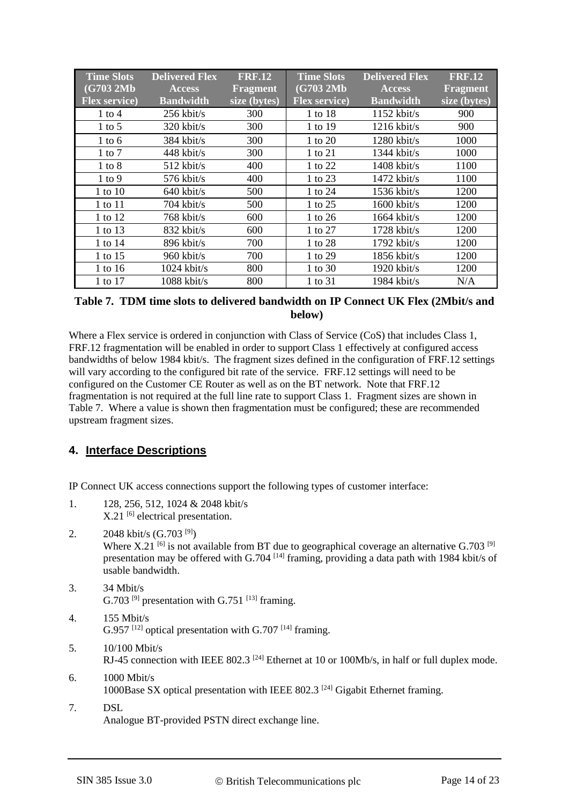| <b>Time Slots</b>     | <b>Delivered Flex</b> | <b>FRF.12</b>   | <b>Time Slots</b>     | <b>Delivered Flex</b> | <b>FRF.12</b>   |
|-----------------------|-----------------------|-----------------|-----------------------|-----------------------|-----------------|
| (G703 2Mb             | <b>Access</b>         | <b>Fragment</b> | (G703 2Mb             | <b>Access</b>         | <b>Fragment</b> |
| <b>Flex service</b> ) | <b>Bandwidth</b>      | size (bytes)    | <b>Flex service</b> ) | <b>Bandwidth</b>      | size (bytes)    |
| 1 to 4                | $256$ kbit/s          | 300             | 1 to 18               | $1152$ kbit/s         | 900             |
| $1$ to 5              | $320$ kbit/s          | 300             | 1 to 19               | $1216$ kbit/s         | 900             |
| $1$ to $6$            | 384 kbit/s            | 300             | 1 to 20               | $1280$ kbit/s         | 1000            |
| $1$ to $7$            | $448$ kbit/s          | 300             | 1 to 21               | $1344$ kbit/s         | 1000            |
| $1$ to $8$            | $512$ kbit/s          | 400             | 1 to 22               | $1408$ kbit/s         | 1100            |
| 1 to 9                | $576$ kbit/s          | 400             | 1 to 23               | $1472$ kbit/s         | 1100            |
| 1 to 10               | $640$ kbit/s          | 500             | 1 to 24               | $1536$ kbit/s         | 1200            |
| 1 to 11               | $704$ kbit/s          | 500             | 1 to 25               | $1600$ kbit/s         | 1200            |
| 1 to 12               | $768$ kbit/s          | 600             | 1 to 26               | $1664$ kbit/s         | 1200            |
| 1 to 13               | 832 kbit/s            | 600             | 1 to 27               | $1728$ kbit/s         | 1200            |
| 1 to 14               | $896$ kbit/s          | 700             | 1 to 28               | $1792$ kbit/s         | 1200            |
| 1 to 15               | $960$ kbit/s          | 700             | 1 to 29               | $1856$ kbit/s         | 1200            |
| 1 to 16               | $1024$ kbit/s         | 800             | 1 to 30               | $1920$ kbit/s         | 1200            |
| 1 to 17               | $1088$ kbit/s         | 800             | 1 to 31               | $1984$ kbit/s         | N/A             |

#### <span id="page-13-0"></span>**Table 7. TDM time slots to delivered bandwidth on IP Connect UK Flex (2Mbit/s and below)**

Where a Flex service is ordered in conjunction with Class of Service (CoS) that includes Class 1, FRF.12 fragmentation will be enabled in order to support Class 1 effectively at configured access bandwidths of below 1984 kbit/s. The fragment sizes defined in the configuration of FRF.12 settings will vary according to the configured bit rate of the service. FRF.12 settings will need to be configured on the Customer CE Router as well as on the BT network. Note that FRF.12 fragmentation is not required at the full line rate to support Class 1. Fragment sizes are shown in [Table 7.](#page-13-0) Where a value is shown then fragmentation must be configured; these are recommended upstream fragment sizes.

# <span id="page-13-1"></span>**4. Interface Descriptions**

IP Connect UK access connections support the following types of customer interface:

- 1. 128, 256, 512, 1024 & 2048 kbit/s  $X.21$ <sup>[\[6\]](#page-19-7)</sup> electrical presentation.
- 2.  $2048 \text{ kbit/s } (G.703 \text{ }^{[9]})$  $2048 \text{ kbit/s } (G.703 \text{ }^{[9]})$  $2048 \text{ kbit/s } (G.703 \text{ }^{[9]})$

Where X.21 <sup>[\[6\]](#page-19-7)</sup> is not available from BT due to geographical coverage an alternative G.703 <sup>[\[9\]](#page-19-8)</sup> presentation may be offered with G.704<sup>[\[14\]](#page-19-9)</sup> framing, providing a data path with 1984 kbit/s of usable bandwidth.

- 3. 34 Mbit/s G.703<sup>[\[9\]](#page-19-8)</sup> presentation with G.751<sup>[\[13\]](#page-19-10)</sup> framing.
- 4. 155 Mbit/s  $G.957$ <sup>[\[12\]](#page-19-11)</sup> optical presentation with  $G.707$ <sup>[\[14\]](#page-19-9)</sup> framing.
- 5. 10/100 Mbit/s RJ-45 connection with IEEE 802.3<sup>[\[24\]](#page-19-5)</sup> Ethernet at 10 or 100Mb/s, in half or full duplex mode.
- 6. 1000 Mbit/s 1000Base SX optical presentation with IEEE 802.3<sup>[\[24\]](#page-19-5)</sup> Gigabit Ethernet framing.
- 7. DSL Analogue BT-provided PSTN direct exchange line.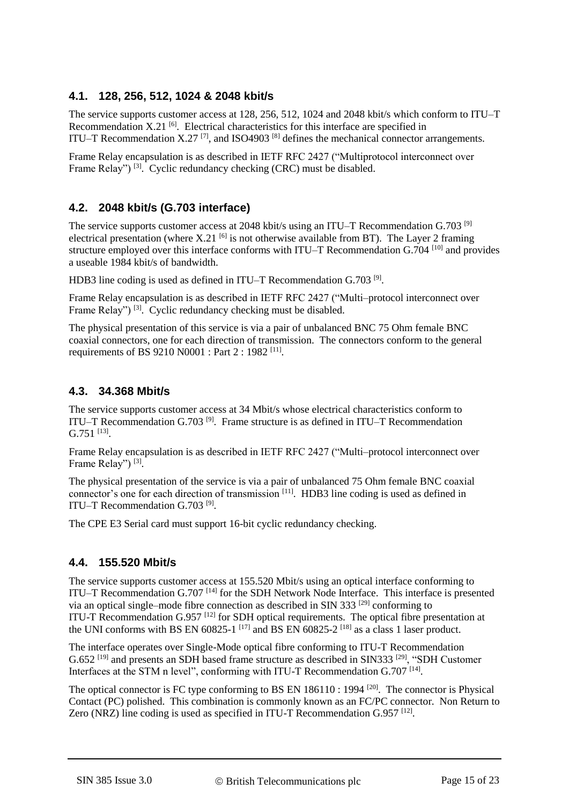# **4.1. 128, 256, 512, 1024 & 2048 kbit/s**

The service supports customer access at 128, 256, 512, 1024 and 2048 kbit/s which conform to ITU–T Recommendation  $X.21$  <sup>[\[6\]](#page-19-7)</sup>. Electrical characteristics for this interface are specified in ITU–T Recommendation  $X.27$ <sup>[\[7\]](#page-19-12)</sup>, and ISO4903<sup>[\[8\]](#page-19-13)</sup> defines the mechanical connector arrangements.

Frame Relay encapsulation is as described in IETF RFC 2427 ("Multiprotocol interconnect over Frame Relay")<sup>[\[3\]](#page-19-2)</sup>. Cyclic redundancy checking (CRC) must be disabled.

# **4.2. 2048 kbit/s (G.703 interface)**

The service supports customer access at 2048 kbit/s using an ITU–T Recommendation G.703 <sup>[\[9\]](#page-19-8)</sup> electrical presentation (where  $X.21$  <sup>[\[6\]](#page-19-7)</sup> is not otherwise available from BT). The Layer 2 framing structure employed over this interface conforms with ITU-T Recommendation G.704<sup>[\[10\]](#page-19-14)</sup> and provides a useable 1984 kbit/s of bandwidth.

HDB3 line coding is used as defined in ITU-T Recommendation G.703<sup>[\[9\]](#page-19-8)</sup>.

Frame Relay encapsulation is as described in IETF RFC 2427 ("Multi–protocol interconnect over Frame Relay")<sup>[\[3\]](#page-19-2)</sup>. Cyclic redundancy checking must be disabled.

The physical presentation of this service is via a pair of unbalanced BNC 75 Ohm female BNC coaxial connectors, one for each direction of transmission. The connectors conform to the general requirements of BS 9210 N0001 : Part 2 : 1982<sup>[\[11\]](#page-19-15)</sup>.

# **4.3. 34.368 Mbit/s**

The service supports customer access at 34 Mbit/s whose electrical characteristics conform to ITU–T Recommendation G.703<sup>[\[9\]](#page-19-8)</sup>. Frame structure is as defined in ITU–T Recommendation  $G.751$ <sup>[\[13\]](#page-19-10)</sup>.

Frame Relay encapsulation is as described in IETF RFC 2427 ("Multi–protocol interconnect over Frame Relay")<sup>[\[3\]](#page-19-2)</sup>.

The physical presentation of the service is via a pair of unbalanced 75 Ohm female BNC coaxial connector's one for each direction of transmission [\[11\]](#page-19-15). HDB3 line coding is used as defined in ITU-T Recommendation G.703<sup>[\[9\]](#page-19-8)</sup>.

The CPE E3 Serial card must support 16-bit cyclic redundancy checking.

#### **4.4. 155.520 Mbit/s**

The service supports customer access at 155.520 Mbit/s using an optical interface conforming to ITU–T Recommendation G.707<sup>[\[14\]](#page-19-9)</sup> for the SDH Network Node Interface. This interface is presented via an optical single–mode fibre connection as described in SIN 333<sup>[\[29\]](#page-20-4)</sup> conforming to ITU-T Recommendation G.957<sup>[\[12\]](#page-19-11)</sup> for SDH optical requirements. The optical fibre presentation at the UNI conforms with BS EN 60825-1<sup>[\[17\]](#page-19-16)</sup> and BS EN 60825-2<sup>[\[18\]](#page-19-17)</sup> as a class 1 laser product.

The interface operates over Single-Mode optical fibre conforming to ITU-T Recommendation G.652<sup>[\[19\]](#page-19-18)</sup> and presents an SDH based frame structure as described in SIN333<sup>[\[29\]](#page-20-4)</sup>, "SDH Customer Interfaces at the STM n level", conforming with ITU-T Recommendation G.707<sup>[\[14\]](#page-19-9)</sup>.

The optical connector is FC type conforming to BS EN 186110 : 1994<sup>[\[20\]](#page-19-19)</sup>. The connector is Physical Contact (PC) polished. This combination is commonly known as an FC/PC connector. Non Return to Zero (NRZ) line coding is used as specified in ITU-T Recommendation G.957<sup>[\[12\]](#page-19-11)</sup>.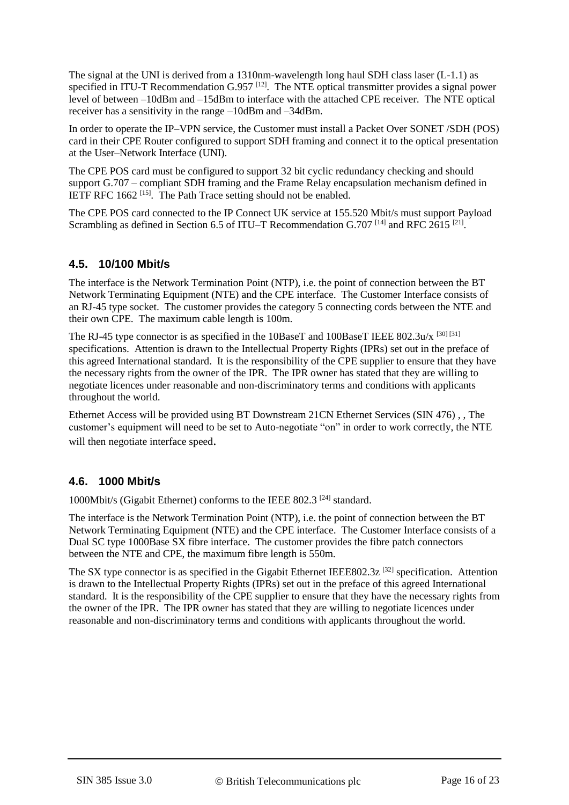The signal at the UNI is derived from a 1310nm-wavelength long haul SDH class laser (L-1.1) as specified in ITU-T Recommendation G.957<sup>[\[12\]](#page-19-11)</sup>. The NTE optical transmitter provides a signal power level of between –10dBm and –15dBm to interface with the attached CPE receiver. The NTE optical receiver has a sensitivity in the range –10dBm and –34dBm.

In order to operate the IP–VPN service, the Customer must install a Packet Over SONET /SDH (POS) card in their CPE Router configured to support SDH framing and connect it to the optical presentation at the User–Network Interface (UNI).

The CPE POS card must be configured to support 32 bit cyclic redundancy checking and should support G.707 – compliant SDH framing and the Frame Relay encapsulation mechanism defined in IETF RFC  $1662$ <sup>[\[15\]](#page-19-20)</sup>. The Path Trace setting should not be enabled.

The CPE POS card connected to the IP Connect UK service at 155.520 Mbit/s must support Payload Scrambling as defined in Section 6.5 of ITU–T Recommendation G.707<sup>[\[14\]](#page-19-9)</sup> and RFC 2615<sup>[\[21\]](#page-19-21)</sup>.

# **4.5. 10/100 Mbit/s**

The interface is the Network Termination Point (NTP), i.e. the point of connection between the BT Network Terminating Equipment (NTE) and the CPE interface. The Customer Interface consists of an RJ-45 type socket. The customer provides the category 5 connecting cords between the NTE and their own CPE. The maximum cable length is 100m.

The RJ-45 type connector is as specified in the 10BaseT and 100BaseT IEEE 802.3u/x [\[30\]](#page-20-5) [\[31\]](#page-20-6) specifications. Attention is drawn to the Intellectual Property Rights (IPRs) set out in the preface of this agreed International standard. It is the responsibility of the CPE supplier to ensure that they have the necessary rights from the owner of the IPR. The IPR owner has stated that they are willing to negotiate licences under reasonable and non-discriminatory terms and conditions with applicants throughout the world.

Ethernet Access will be provided using BT Downstream 21CN Ethernet Services (SIN 476) , , The customer's equipment will need to be set to Auto-negotiate "on" in order to work correctly, the NTE will then negotiate interface speed.

#### **4.6. 1000 Mbit/s**

1000Mbit/s (Gigabit Ethernet) conforms to the IEEE 802.3<sup>[\[24\]](#page-19-5)</sup> standard.

The interface is the Network Termination Point (NTP), i.e. the point of connection between the BT Network Terminating Equipment (NTE) and the CPE interface. The Customer Interface consists of a Dual SC type 1000Base SX fibre interface. The customer provides the fibre patch connectors between the NTE and CPE, the maximum fibre length is 550m.

The SX type connector is as specified in the Gigabit Ethernet IEEE802.3z<sup>[\[32\]](#page-20-7)</sup> specification. Attention is drawn to the Intellectual Property Rights (IPRs) set out in the preface of this agreed International standard. It is the responsibility of the CPE supplier to ensure that they have the necessary rights from the owner of the IPR. The IPR owner has stated that they are willing to negotiate licences under reasonable and non-discriminatory terms and conditions with applicants throughout the world.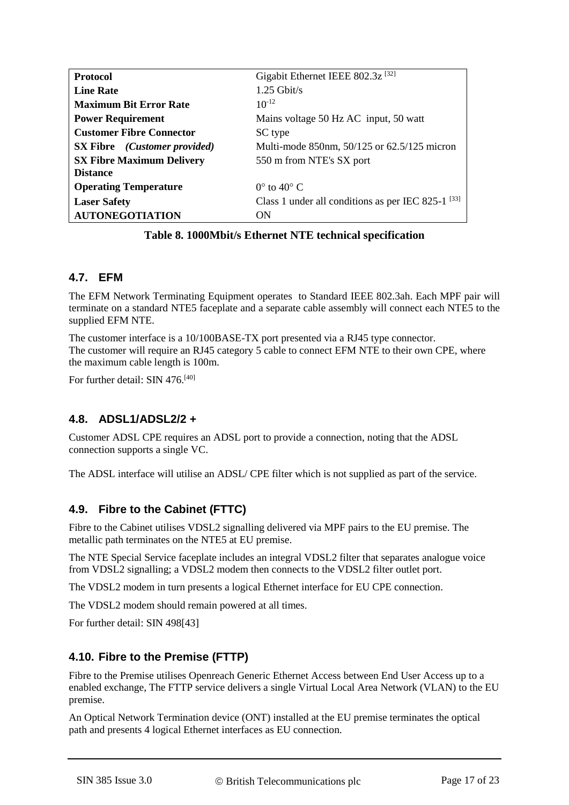| <b>Protocol</b>                            | Gigabit Ethernet IEEE 802.3z <sup>[32]</sup>                  |
|--------------------------------------------|---------------------------------------------------------------|
| <b>Line Rate</b>                           | $1.25$ Gbit/s                                                 |
| <b>Maximum Bit Error Rate</b>              | $10^{-12}$                                                    |
| <b>Power Requirement</b>                   | Mains voltage 50 Hz AC input, 50 watt                         |
| <b>Customer Fibre Connector</b>            | SC type                                                       |
| <b>SX Fibre</b> <i>(Customer provided)</i> | Multi-mode 850nm, 50/125 or 62.5/125 micron                   |
| <b>SX Fibre Maximum Delivery</b>           | 550 m from NTE's SX port                                      |
| <b>Distance</b>                            |                                                               |
| <b>Operating Temperature</b>               | $0^{\circ}$ to $40^{\circ}$ C                                 |
| <b>Laser Safety</b>                        | Class 1 under all conditions as per IEC 825-1 <sup>[33]</sup> |
| <b>AUTONEGOTIATION</b>                     | ON                                                            |

#### **Table 8. 1000Mbit/s Ethernet NTE technical specification**

# **4.7. EFM**

The EFM Network Terminating Equipment operates to Standard IEEE 802.3ah. Each MPF pair will terminate on a standard NTE5 faceplate and a separate cable assembly will connect each NTE5 to the supplied EFM NTE.

The customer interface is a 10/100BASE-TX port presented via a RJ45 type connector. The customer will require an RJ45 category 5 cable to connect EFM NTE to their own CPE, where the maximum cable length is 100m.

For further detail: SIN 476.<sup>[\[40\]](#page-20-9)</sup>

#### **4.8. ADSL1/ADSL2/2 +**

Customer ADSL CPE requires an ADSL port to provide a connection, noting that the ADSL connection supports a single VC.

The ADSL interface will utilise an ADSL/ CPE filter which is not supplied as part of the service.

# **4.9. Fibre to the Cabinet (FTTC)**

Fibre to the Cabinet utilises VDSL2 signalling delivered via MPF pairs to the EU premise. The metallic path terminates on the NTE5 at EU premise.

The NTE Special Service faceplate includes an integral VDSL2 filter that separates analogue voice from VDSL2 signalling; a VDSL2 modem then connects to the VDSL2 filter outlet port.

The VDSL2 modem in turn presents a logical Ethernet interface for EU CPE connection.

The VDSL2 modem should remain powered at all times.

For further detail: SIN 49[8\[43\]](#page-20-2)

#### **4.10. Fibre to the Premise (FTTP)**

Fibre to the Premise utilises Openreach Generic Ethernet Access between End User Access up to a enabled exchange, The FTTP service delivers a single Virtual Local Area Network (VLAN) to the EU premise.

An Optical Network Termination device (ONT) installed at the EU premise terminates the optical path and presents 4 logical Ethernet interfaces as EU connection.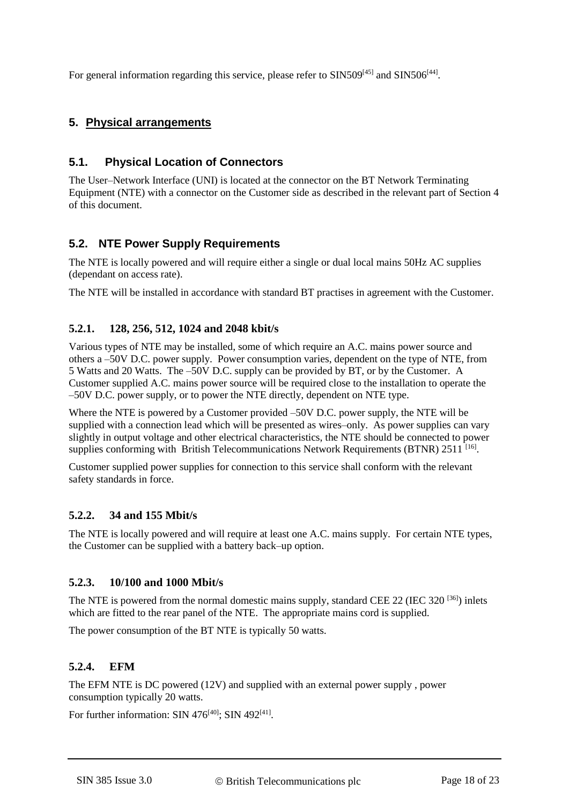For general information regarding this service, please refer to SIN509<sup>[\[45\]](#page-20-10)</sup> and SIN506<sup>[\[44\]](#page-20-11)</sup>.

# **5. Physical arrangements**

## **5.1. Physical Location of Connectors**

The User–Network Interface (UNI) is located at the connector on the BT Network Terminating Equipment (NTE) with a connector on the Customer side as described in the relevant part of Section [4](#page-13-1) of this document.

#### **5.2. NTE Power Supply Requirements**

The NTE is locally powered and will require either a single or dual local mains 50Hz AC supplies (dependant on access rate).

The NTE will be installed in accordance with standard BT practises in agreement with the Customer.

#### **5.2.1. 128, 256, 512, 1024 and 2048 kbit/s**

Various types of NTE may be installed, some of which require an A.C. mains power source and others a –50V D.C. power supply. Power consumption varies, dependent on the type of NTE, from 5 Watts and 20 Watts. The –50V D.C. supply can be provided by BT, or by the Customer. A Customer supplied A.C. mains power source will be required close to the installation to operate the –50V D.C. power supply, or to power the NTE directly, dependent on NTE type.

Where the NTE is powered by a Customer provided –50V D.C. power supply, the NTE will be supplied with a connection lead which will be presented as wires–only. As power supplies can vary slightly in output voltage and other electrical characteristics, the NTE should be connected to power supplies conforming with British Telecommunications Network Requirements (BTNR) 2511<sup>[\[16\]](#page-19-22)</sup>.

Customer supplied power supplies for connection to this service shall conform with the relevant safety standards in force.

#### **5.2.2. 34 and 155 Mbit/s**

The NTE is locally powered and will require at least one A.C. mains supply. For certain NTE types, the Customer can be supplied with a battery back–up option.

#### **5.2.3. 10/100 and 1000 Mbit/s**

The NTE is powered from the normal domestic mains supply, standard CEE 22 (IEC 320<sup>[\[36\]](#page-20-12)</sup>) inlets which are fitted to the rear panel of the NTE. The appropriate mains cord is supplied.

The power consumption of the BT NTE is typically 50 watts.

#### **5.2.4. EFM**

The EFM NTE is DC powered (12V) and supplied with an external power supply , power consumption typically 20 watts.

For further information: SIN 476<sup>[\[40\]](#page-20-9)</sup>; SIN 492<sup>[\[41\]](#page-20-13)</sup>.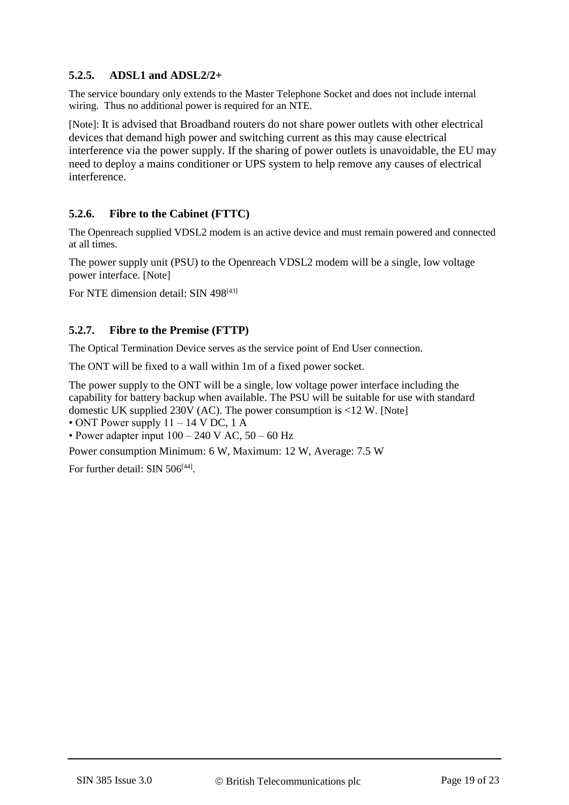# **5.2.5. ADSL1 and ADSL2/2+**

The service boundary only extends to the Master Telephone Socket and does not include internal wiring. Thus no additional power is required for an NTE.

<span id="page-18-0"></span>[Note]: It is advised that Broadband routers do not share power outlets with other electrical devices that demand high power and switching current as this may cause electrical interference via the power supply. If the sharing of power outlets is unavoidable, the EU may need to deploy a mains conditioner or UPS system to help remove any causes of electrical interference.

# **5.2.6. Fibre to the Cabinet (FTTC)**

The Openreach supplied VDSL2 modem is an active device and must remain powered and connected at all times.

The power supply unit (PSU) to the Openreach VDSL2 modem will be a single, low voltage power interface. [\[Note\]](#page-18-0)

For NTE dimension detail: SIN 498<sup>[\[43\]](#page-20-2)</sup>

# **5.2.7. Fibre to the Premise (FTTP)**

The Optical Termination Device serves as the service point of End User connection.

The ONT will be fixed to a wall within 1m of a fixed power socket.

The power supply to the ONT will be a single, low voltage power interface including the capability for battery backup when available. The PSU will be suitable for use with standard domestic UK supplied 230V (AC). The power consumption is  $\langle 12 \text{ W} \rangle$ . [\[Note\]](#page-18-0)

• ONT Power supply  $11 - 14$  V DC, 1 A

• Power adapter input  $100 - 240$  V AC,  $50 - 60$  Hz

Power consumption Minimum: 6 W, Maximum: 12 W, Average: 7.5 W

For further detail: SIN 506<sup>[\[44\]](#page-20-11)</sup>.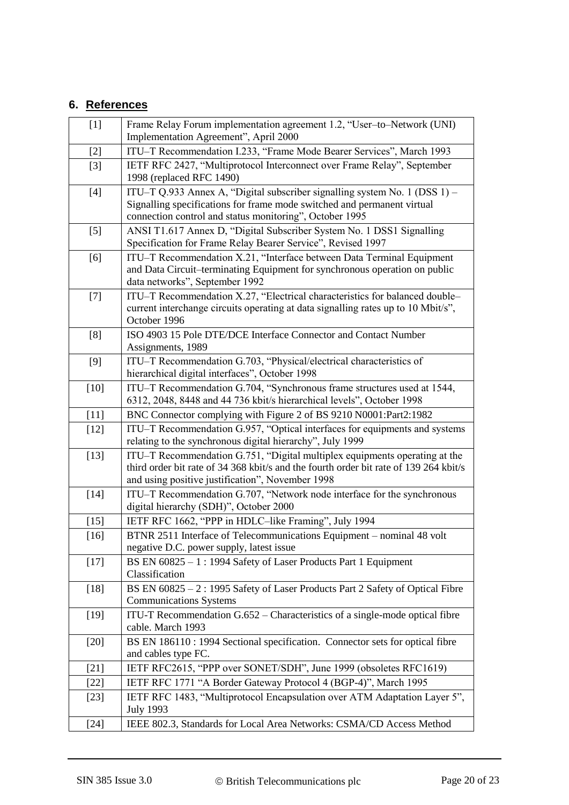# **6. References**

<span id="page-19-22"></span><span id="page-19-21"></span><span id="page-19-20"></span><span id="page-19-19"></span><span id="page-19-18"></span><span id="page-19-17"></span><span id="page-19-16"></span><span id="page-19-15"></span><span id="page-19-14"></span><span id="page-19-13"></span><span id="page-19-12"></span><span id="page-19-11"></span><span id="page-19-10"></span><span id="page-19-9"></span><span id="page-19-8"></span><span id="page-19-7"></span><span id="page-19-6"></span><span id="page-19-5"></span><span id="page-19-4"></span><span id="page-19-3"></span><span id="page-19-2"></span><span id="page-19-1"></span><span id="page-19-0"></span>

| $[1]$  | Frame Relay Forum implementation agreement 1.2, "User-to-Network (UNI)<br>Implementation Agreement", April 2000                                                                                                         |
|--------|-------------------------------------------------------------------------------------------------------------------------------------------------------------------------------------------------------------------------|
| $[2]$  | ITU-T Recommendation I.233, "Frame Mode Bearer Services", March 1993                                                                                                                                                    |
| $[3]$  | IETF RFC 2427, "Multiprotocol Interconnect over Frame Relay", September<br>1998 (replaced RFC 1490)                                                                                                                     |
| $[4]$  | ITU-T Q.933 Annex A, "Digital subscriber signalling system No. 1 (DSS 1) -<br>Signalling specifications for frame mode switched and permanent virtual<br>connection control and status monitoring", October 1995        |
| $[5]$  | ANSI T1.617 Annex D, "Digital Subscriber System No. 1 DSS1 Signalling<br>Specification for Frame Relay Bearer Service", Revised 1997                                                                                    |
| [6]    | ITU-T Recommendation X.21, "Interface between Data Terminal Equipment<br>and Data Circuit-terminating Equipment for synchronous operation on public<br>data networks", September 1992                                   |
| $[7]$  | ITU-T Recommendation X.27, "Electrical characteristics for balanced double-<br>current interchange circuits operating at data signalling rates up to 10 Mbit/s",<br>October 1996                                        |
| [8]    | ISO 4903 15 Pole DTE/DCE Interface Connector and Contact Number<br>Assignments, 1989                                                                                                                                    |
| [9]    | ITU-T Recommendation G.703, "Physical/electrical characteristics of<br>hierarchical digital interfaces", October 1998                                                                                                   |
| $[10]$ | ITU-T Recommendation G.704, "Synchronous frame structures used at 1544,<br>6312, 2048, 8448 and 44 736 kbit/s hierarchical levels", October 1998                                                                        |
| $[11]$ | BNC Connector complying with Figure 2 of BS 9210 N0001:Part2:1982                                                                                                                                                       |
| $[12]$ | ITU–T Recommendation G.957, "Optical interfaces for equipments and systems<br>relating to the synchronous digital hierarchy", July 1999                                                                                 |
| $[13]$ | ITU-T Recommendation G.751, "Digital multiplex equipments operating at the<br>third order bit rate of 34 368 kbit/s and the fourth order bit rate of 139 264 kbit/s<br>and using positive justification", November 1998 |
| $[14]$ | ITU-T Recommendation G.707, "Network node interface for the synchronous<br>digital hierarchy (SDH)", October 2000                                                                                                       |
| $[15]$ | IETF RFC 1662, "PPP in HDLC-like Framing", July 1994                                                                                                                                                                    |
| $[16]$ | BTNR 2511 Interface of Telecommunications Equipment – nominal 48 volt<br>negative D.C. power supply, latest issue                                                                                                       |
| $[17]$ | BS EN 60825 - 1 : 1994 Safety of Laser Products Part 1 Equipment<br>Classification                                                                                                                                      |
| $[18]$ | BS EN 60825 - 2: 1995 Safety of Laser Products Part 2 Safety of Optical Fibre<br><b>Communications Systems</b>                                                                                                          |
| $[19]$ | ITU-T Recommendation G.652 – Characteristics of a single-mode optical fibre<br>cable. March 1993                                                                                                                        |
| $[20]$ | BS EN 186110 : 1994 Sectional specification. Connector sets for optical fibre<br>and cables type FC.                                                                                                                    |
| $[21]$ | IETF RFC2615, "PPP over SONET/SDH", June 1999 (obsoletes RFC1619)                                                                                                                                                       |
| $[22]$ | IETF RFC 1771 "A Border Gateway Protocol 4 (BGP-4)", March 1995                                                                                                                                                         |
| $[23]$ | IETF RFC 1483, "Multiprotocol Encapsulation over ATM Adaptation Layer 5",<br><b>July 1993</b>                                                                                                                           |
| $[24]$ | IEEE 802.3, Standards for Local Area Networks: CSMA/CD Access Method                                                                                                                                                    |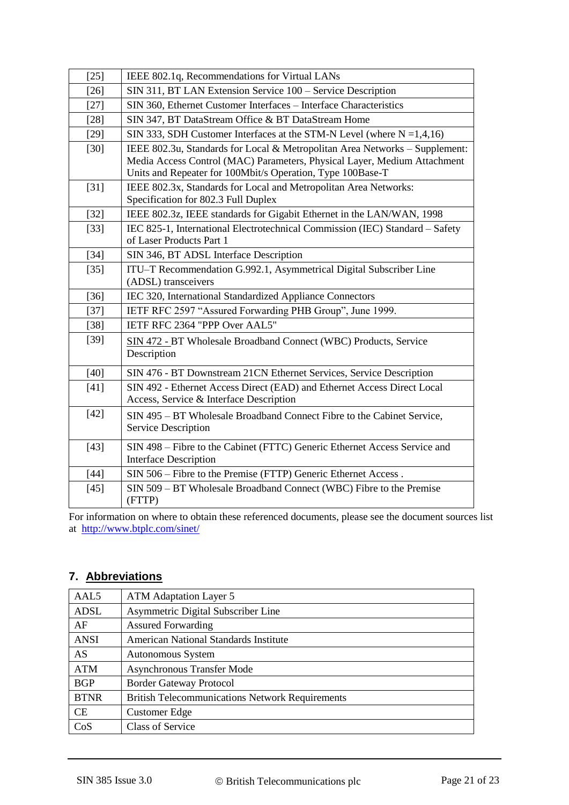<span id="page-20-8"></span><span id="page-20-7"></span><span id="page-20-6"></span><span id="page-20-5"></span><span id="page-20-4"></span><span id="page-20-1"></span><span id="page-20-0"></span>

| $[25]$ | IEEE 802.1q, Recommendations for Virtual LANs                                                                                                                                                                         |
|--------|-----------------------------------------------------------------------------------------------------------------------------------------------------------------------------------------------------------------------|
| $[26]$ | SIN 311, BT LAN Extension Service 100 - Service Description                                                                                                                                                           |
| $[27]$ | SIN 360, Ethernet Customer Interfaces - Interface Characteristics                                                                                                                                                     |
| $[28]$ | SIN 347, BT DataStream Office & BT DataStream Home                                                                                                                                                                    |
| $[29]$ | SIN 333, SDH Customer Interfaces at the STM-N Level (where $N = 1,4,16$ )                                                                                                                                             |
| $[30]$ | IEEE 802.3u, Standards for Local & Metropolitan Area Networks - Supplement:<br>Media Access Control (MAC) Parameters, Physical Layer, Medium Attachment<br>Units and Repeater for 100Mbit/s Operation, Type 100Base-T |
| $[31]$ | IEEE 802.3x, Standards for Local and Metropolitan Area Networks:<br>Specification for 802.3 Full Duplex                                                                                                               |
| $[32]$ | IEEE 802.3z, IEEE standards for Gigabit Ethernet in the LAN/WAN, 1998                                                                                                                                                 |
| $[33]$ | IEC 825-1, International Electrotechnical Commission (IEC) Standard - Safety<br>of Laser Products Part 1                                                                                                              |
| $[34]$ | SIN 346, BT ADSL Interface Description                                                                                                                                                                                |
| $[35]$ | ITU-T Recommendation G.992.1, Asymmetrical Digital Subscriber Line<br>(ADSL) transceivers                                                                                                                             |
| $[36]$ | IEC 320, International Standardized Appliance Connectors                                                                                                                                                              |
| $[37]$ | IETF RFC 2597 "Assured Forwarding PHB Group", June 1999.                                                                                                                                                              |
| $[38]$ | IETF RFC 2364 "PPP Over AAL5"                                                                                                                                                                                         |
| $[39]$ | SIN 472 - BT Wholesale Broadband Connect (WBC) Products, Service<br>Description                                                                                                                                       |
| $[40]$ | SIN 476 - BT Downstream 21CN Ethernet Services, Service Description                                                                                                                                                   |
| $[41]$ | SIN 492 - Ethernet Access Direct (EAD) and Ethernet Access Direct Local<br>Access, Service & Interface Description                                                                                                    |
| $[42]$ | SIN 495 - BT Wholesale Broadband Connect Fibre to the Cabinet Service,<br><b>Service Description</b>                                                                                                                  |
| $[43]$ | SIN 498 – Fibre to the Cabinet (FTTC) Generic Ethernet Access Service and<br><b>Interface Description</b>                                                                                                             |
| $[44]$ | SIN 506 - Fibre to the Premise (FTTP) Generic Ethernet Access.                                                                                                                                                        |
| $[45]$ | SIN 509 – BT Wholesale Broadband Connect (WBC) Fibre to the Premise<br>(FTTP)                                                                                                                                         |

<span id="page-20-13"></span><span id="page-20-12"></span><span id="page-20-11"></span><span id="page-20-10"></span><span id="page-20-9"></span><span id="page-20-3"></span><span id="page-20-2"></span>For information on where to obtain these referenced documents, please see the document sources list at <http://www.btplc.com/sinet/>

# **7. Abbreviations**

| AAL <sub>5</sub> | <b>ATM</b> Adaptation Layer 5                          |  |
|------------------|--------------------------------------------------------|--|
| ADSL             | Asymmetric Digital Subscriber Line                     |  |
| AF               | <b>Assured Forwarding</b>                              |  |
| <b>ANSI</b>      | American National Standards Institute                  |  |
| AS               | Autonomous System                                      |  |
| <b>ATM</b>       | <b>Asynchronous Transfer Mode</b>                      |  |
| <b>BGP</b>       | <b>Border Gateway Protocol</b>                         |  |
| <b>BTNR</b>      | <b>British Telecommunications Network Requirements</b> |  |
| <b>CE</b>        | <b>Customer Edge</b>                                   |  |
| CoS              | <b>Class of Service</b>                                |  |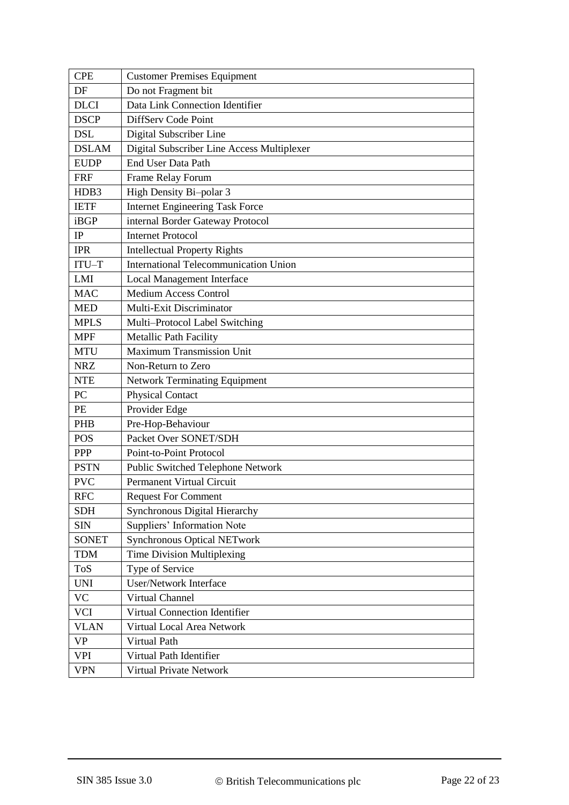| <b>CPE</b>   | <b>Customer Premises Equipment</b>           |  |  |
|--------------|----------------------------------------------|--|--|
| DF           | Do not Fragment bit                          |  |  |
| <b>DLCI</b>  | Data Link Connection Identifier              |  |  |
| <b>DSCP</b>  | DiffServ Code Point                          |  |  |
| <b>DSL</b>   | Digital Subscriber Line                      |  |  |
| <b>DSLAM</b> | Digital Subscriber Line Access Multiplexer   |  |  |
| <b>EUDP</b>  | End User Data Path                           |  |  |
| <b>FRF</b>   | Frame Relay Forum                            |  |  |
| HDB3         | High Density Bi-polar 3                      |  |  |
| <b>IETF</b>  | <b>Internet Engineering Task Force</b>       |  |  |
| iBGP         | internal Border Gateway Protocol             |  |  |
| IP           | <b>Internet Protocol</b>                     |  |  |
| <b>IPR</b>   | <b>Intellectual Property Rights</b>          |  |  |
| $ITU-T$      | <b>International Telecommunication Union</b> |  |  |
| LMI          | Local Management Interface                   |  |  |
| <b>MAC</b>   | <b>Medium Access Control</b>                 |  |  |
| <b>MED</b>   | Multi-Exit Discriminator                     |  |  |
| <b>MPLS</b>  | Multi-Protocol Label Switching               |  |  |
| <b>MPF</b>   | <b>Metallic Path Facility</b>                |  |  |
| <b>MTU</b>   | <b>Maximum Transmission Unit</b>             |  |  |
| <b>NRZ</b>   | Non-Return to Zero                           |  |  |
| <b>NTE</b>   | <b>Network Terminating Equipment</b>         |  |  |
| PC           | <b>Physical Contact</b>                      |  |  |
| PE           | Provider Edge                                |  |  |
| <b>PHB</b>   | Pre-Hop-Behaviour                            |  |  |
| <b>POS</b>   | Packet Over SONET/SDH                        |  |  |
| <b>PPP</b>   | Point-to-Point Protocol                      |  |  |
| <b>PSTN</b>  | Public Switched Telephone Network            |  |  |
| <b>PVC</b>   | Permanent Virtual Circuit                    |  |  |
| <b>RFC</b>   | <b>Request For Comment</b>                   |  |  |
| <b>SDH</b>   | <b>Synchronous Digital Hierarchy</b>         |  |  |
| <b>SIN</b>   | Suppliers' Information Note                  |  |  |
| <b>SONET</b> | <b>Synchronous Optical NETwork</b>           |  |  |
| <b>TDM</b>   | Time Division Multiplexing                   |  |  |
| ToS          | Type of Service                              |  |  |
| <b>UNI</b>   | User/Network Interface                       |  |  |
| VC           | Virtual Channel                              |  |  |
| <b>VCI</b>   | Virtual Connection Identifier                |  |  |
| <b>VLAN</b>  | Virtual Local Area Network                   |  |  |
| <b>VP</b>    | Virtual Path                                 |  |  |
| <b>VPI</b>   | Virtual Path Identifier                      |  |  |
| <b>VPN</b>   | <b>Virtual Private Network</b>               |  |  |